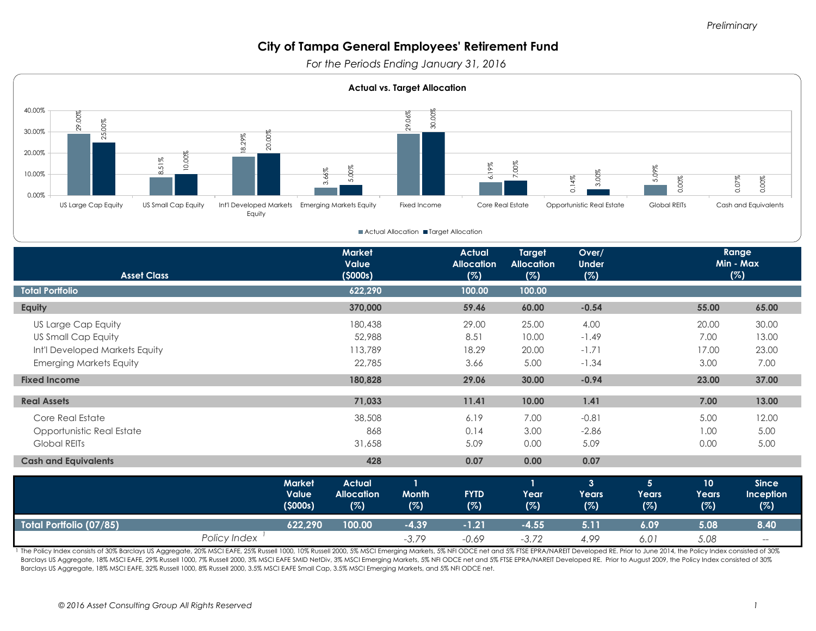*For the Periods Ending January 31, 2016* 



**Actual Allocation II Target Allocation** 

| <b>Asset Class</b>             |                  | <b>Market</b><br>Value<br>(5000s) |                     | <b>Actual</b><br><b>Allocation</b><br>(%) | <b>Target</b><br><b>Allocation</b><br>(%) | Over/<br><b>Under</b><br>(%) | Range<br>Min - Max<br>(%) |                 |                  |
|--------------------------------|------------------|-----------------------------------|---------------------|-------------------------------------------|-------------------------------------------|------------------------------|---------------------------|-----------------|------------------|
| <b>Total Portfolio</b>         |                  | 622,290                           |                     | 100.00                                    | 100.00                                    |                              |                           |                 |                  |
| Equity                         |                  | 370,000                           |                     | 59.46                                     | 60.00                                     | $-0.54$                      |                           | 55.00           | 65.00            |
| US Large Cap Equity            |                  | 180,438                           |                     | 29.00                                     | 25.00                                     | 4.00                         |                           | 20.00           | 30.00            |
| US Small Cap Equity            |                  | 52,988                            |                     | 8.51                                      | 10.00                                     | $-1.49$                      |                           | 7.00            | 13.00            |
| Int'l Developed Markets Equity |                  | 113,789                           |                     | 18.29                                     | 20.00                                     | $-1.71$                      |                           | 17.00           | 23.00            |
| <b>Emerging Markets Equity</b> |                  | 22,785                            |                     | 3.66                                      | 5.00                                      | $-1.34$                      |                           | 3.00            | 7.00             |
| <b>Fixed Income</b>            |                  | 180,828                           |                     | 29.06                                     | 30.00                                     | $-0.94$                      |                           | 23.00           | 37.00            |
| <b>Real Assets</b>             |                  | 71,033                            |                     | 11.41                                     | 10.00                                     | 1.41                         |                           | 7.00            | 13.00            |
|                                |                  |                                   |                     |                                           |                                           |                              |                           |                 |                  |
| Core Real Estate               |                  | 38,508                            |                     | 6.19                                      | 7.00                                      | $-0.81$                      |                           | 5.00            | 12.00            |
| Opportunistic Real Estate      |                  | 868                               |                     | 0.14                                      | 3.00                                      | $-2.86$                      |                           | 1.00            | 5.00             |
| Global REITs                   |                  | 31,658                            |                     | 5.09                                      | 0.00                                      | 5.09                         |                           | 0.00            | 5.00             |
| <b>Cash and Equivalents</b>    |                  | 428                               |                     | 0.07                                      | 0.00                                      | 0.07                         |                           |                 |                  |
|                                | <b>Market</b>    | <b>Actual</b>                     | $\mathbf{I}$        |                                           | $\mathbf{I}$                              | $\overline{3}$               | 5 <sup>5</sup>            | 10 <sup>°</sup> | <b>Since</b>     |
|                                | Value<br>(5000s) | <b>Allocation</b><br>(%)          | <b>Month</b><br>(%) | <b>FYTD</b><br>(%)                        | Year<br>(%)                               | Years<br>(%)                 | <b>Years</b><br>(%)       | Years<br>(%)    | Inception<br>(%) |
| Total Portfolio (07/85)        | 622,290          | 100.00                            | $-4.39$             | $-1.21$                                   | $-4.55$                                   | 5.11                         | 6.09                      | 5.08            | 8.40             |
|                                | Policy Index     |                                   | $-3.79$             | $-0.69$                                   | $-3.72$                                   | 4.99                         | 6.01                      | 5.08            | $-\!$            |

1 The Policy Index consists of 30% Barclays US Aggregate, 20% MSCI EAFE, 25% Russell 1000, 10% Russell 2000, 5% MSCI Emerging Markets, 5% NFI ODCE net and 5% FTSE EPRA/NAREIT Developed RE. Prior to June 2014, the Policy In Barclays US Aggregate, 18% MSCI EAFE, 29% Russell 1000, 7% Russell 2000, 3% MSCI EAFE SMID NetDiv, 3% MSCI Emerging Markets, 5% NFI ODCE net and 5% FTSE EPRA/NAREIT Developed RE. Prior to August 2009, the Policy Index cons Barclays US Aggregate, 18% MSCI EAFE, 32% Russell 1000, 8% Russell 2000, 3.5% MSCI EAFE Small Cap, 3.5% MSCI Emerging Markets, and 5% NFI ODCE net.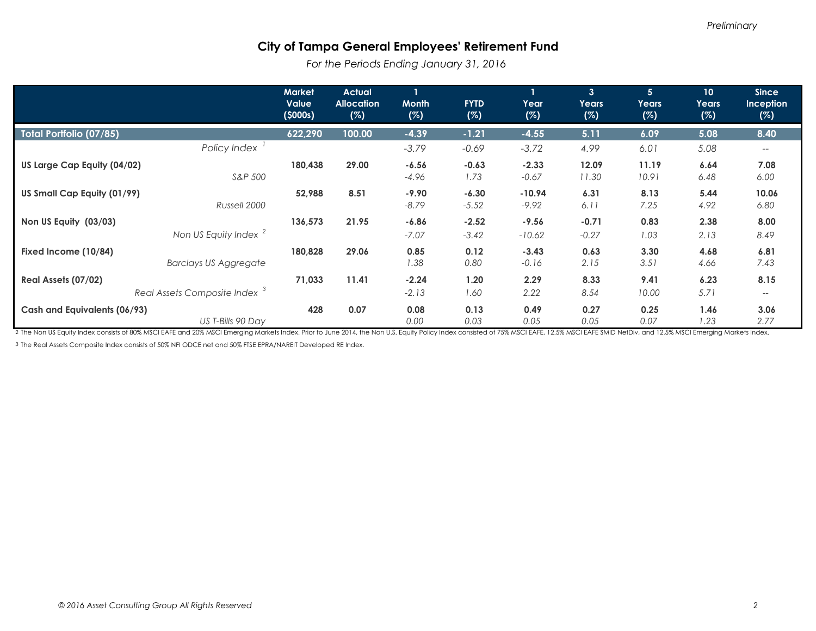*For the Periods Ending January 31, 2016* 

|                                                                 | <b>Market</b><br><b>Value</b><br>(5000s) | <b>Actual</b><br><b>Allocation</b><br>(%) | <b>Month</b><br>(%) | <b>FYTD</b><br>(%) | $\mathbf{1}$<br>Year<br>(%) | $\mathbf{3}$<br><b>Years</b><br>(%) | 5 <sup>5</sup><br>Years<br>(%) | 10 <sup>°</sup><br>Years<br>(%) | <b>Since</b><br><b>Inception</b><br>(%)    |
|-----------------------------------------------------------------|------------------------------------------|-------------------------------------------|---------------------|--------------------|-----------------------------|-------------------------------------|--------------------------------|---------------------------------|--------------------------------------------|
| <b>Total Portfolio (07/85)</b>                                  | 622,290                                  | 100.00                                    | $-4.39$             | $-1.21$            | $-4.55$                     | 5.11                                | 6.09                           | 5.08                            | 8.40                                       |
| Policy Index                                                    |                                          |                                           | $-3.79$             | $-0.69$            | $-3.72$                     | 4.99                                | 6.01                           | 5.08                            | ——                                         |
| US Large Cap Equity (04/02)<br>S&P 500                          | 180,438                                  | 29.00                                     | $-6.56$<br>$-4.96$  | $-0.63$<br>1.73    | $-2.33$<br>$-0.67$          | 12.09<br>11.30                      | 11.19<br>10.91                 | 6.64<br>6.48                    | 7.08<br>6.00                               |
| US Small Cap Equity (01/99)<br>Russell 2000                     | 52,988                                   | 8.51                                      | $-9.90$<br>$-8.79$  | $-6.30$<br>$-5.52$ | $-10.94$<br>$-9.92$         | 6.31<br>6.11                        | 8.13<br>7.25                   | 5.44<br>4.92                    | 10.06<br>6.80                              |
| Non US Equity (03/03)<br>Non US Equity Index <sup>2</sup>       | 136,573                                  | 21.95                                     | $-6.86$<br>$-7.07$  | $-2.52$<br>$-3.42$ | $-9.56$<br>$-10.62$         | $-0.71$<br>$-0.27$                  | 0.83<br>1.03                   | 2.38<br>2.13                    | 8.00<br>8.49                               |
| Fixed Income (10/84)<br><b>Barclays US Aggregate</b>            | 180,828                                  | 29.06                                     | 0.85<br>1.38        | 0.12<br>0.80       | $-3.43$<br>$-0.16$          | 0.63<br>2.15                        | 3.30<br>3.51                   | 4.68<br>4.66                    | 6.81<br>7.43                               |
| Real Assets (07/02)<br>Real Assets Composite Index <sup>3</sup> | 71,033                                   | 11.41                                     | $-2.24$<br>$-2.13$  | 1.20<br>1.60       | 2.29<br>2.22                | 8.33<br>8.54                        | 9.41<br>10.00                  | 6.23<br>5.71                    | 8.15<br>$\hspace{0.05cm} -\hspace{0.05cm}$ |
| Cash and Equivalents (06/93)<br>US T-Bills 90 Day               | 428                                      | 0.07                                      | 0.08<br>0.00        | 0.13<br>0.03       | 0.49<br>0.05                | 0.27<br>0.05                        | 0.25<br>0.07                   | 1.46<br>1.23                    | 3.06<br>2.77                               |

2 The Non US Equity Index consists of 80% MSCI EAFE and 20% MSCI Emerging Markets Index. Prior to June 2014, the Non U.S. Equity Policy Index consisted of 75% MSCI EAFE, 12.5% MSCI EAFE SMID NetDiv, and 12.5% MSCI Emerging

3 The Real Assets Composite Index consists of 50% NFI ODCE net and 50% FTSE EPRA/NAREIT Developed RE Index.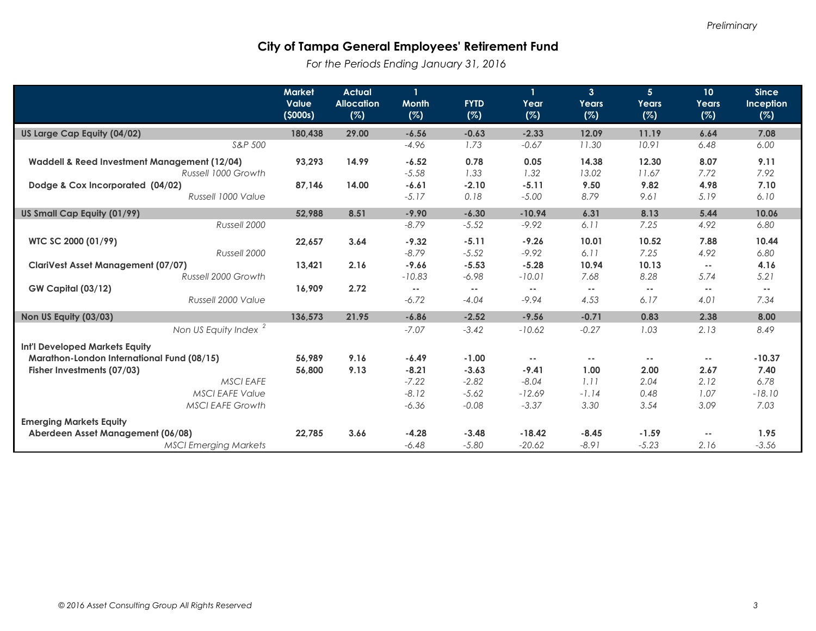*For the Periods Ending January 31, 2016*

|                                                                     | <b>Market</b><br>Value<br>(5000s) | <b>Actual</b><br><b>Allocation</b><br>(%) | 1<br><b>Month</b><br>(%) | <b>FYTD</b><br>(%) | 1<br>Year<br>(%) | 3 <sup>1</sup><br>Years<br>(%) | 5 <sup>5</sup><br>Years<br>(%) | 10 <sup>°</sup><br>Years<br>(%) | <b>Since</b><br>Inception<br>(%) |
|---------------------------------------------------------------------|-----------------------------------|-------------------------------------------|--------------------------|--------------------|------------------|--------------------------------|--------------------------------|---------------------------------|----------------------------------|
| US Large Cap Equity (04/02)                                         | 180,438                           | 29.00                                     | $-6.56$                  | $-0.63$            | $-2.33$          | 12.09                          | 11.19                          | 6.64                            | 7.08                             |
| S&P 500                                                             |                                   |                                           | $-4.96$                  | 1.73               | $-0.67$          | 11.30                          | 10.91                          | 6.48                            | 6.00                             |
| Waddell & Reed Investment Management (12/04)<br>Russell 1000 Growth | 93,293                            | 14.99                                     | $-6.52$<br>$-5.58$       | 0.78<br>1.33       | 0.05<br>1.32     | 14.38<br>13.02                 | 12.30<br>11.67                 | 8.07<br>7.72                    | 9.11<br>7.92                     |
| Dodge & Cox Incorporated (04/02)                                    | 87,146                            | 14.00                                     | $-6.61$                  | $-2.10$            | $-5.11$          | 9.50                           | 9.82                           | 4.98                            | 7.10                             |
| Russell 1000 Value                                                  |                                   |                                           | $-5.17$                  | 0.18               | $-5.00$          | 8.79                           | 9.61                           | 5.19                            | 6.10                             |
| US Small Cap Equity (01/99)                                         | 52,988                            | 8.51                                      | $-9.90$                  | $-6.30$            | $-10.94$         | 6.31                           | 8.13                           | 5.44                            | 10.06                            |
| Russell 2000                                                        |                                   |                                           | $-8.79$                  | $-5.52$            | $-9.92$          | 6.11                           | 7.25                           | 4.92                            | 6.80                             |
| WTC SC 2000 (01/99)                                                 | 22.657                            | 3.64                                      | $-9.32$                  | $-5.11$            | $-9.26$          | 10.01                          | 10.52                          | 7.88                            | 10.44                            |
| Russell 2000                                                        |                                   |                                           | $-8.79$                  | $-5.52$            | $-9.92$          | 6.11                           | 7.25                           | 4.92                            | 6.80                             |
| <b>ClariVest Asset Management (07/07)</b>                           | 13.421                            | 2.16                                      | $-9.66$                  | $-5.53$            | $-5.28$          | 10.94                          | 10.13                          | $\sim$ $-$                      | 4.16                             |
| Russell 2000 Growth                                                 |                                   |                                           | $-10.83$                 | $-6.98$            | $-10.01$         | 7.68                           | 8.28                           | 5.74                            | 5.21                             |
| <b>GW Capital (03/12)</b>                                           | 16.909                            | 2.72                                      | $\sim$ $-$               | $- -$              | $\sim$ $-$       | $\sim$ $-$                     | $\sim$ $-$                     | $\overline{\phantom{a}}$        | $- -$                            |
| Russell 2000 Value                                                  |                                   |                                           | $-6.72$                  | $-4.04$            | $-9.94$          | 4.53                           | 6.17                           | 4.01                            | 7.34                             |
| Non US Equity (03/03)                                               | 136,573                           | 21.95                                     | $-6.86$                  | $-2.52$            | $-9.56$          | $-0.71$                        | 0.83                           | 2.38                            | 8.00                             |
| Non US Equity Index <sup>2</sup>                                    |                                   |                                           | $-7.07$                  | $-3.42$            | $-10.62$         | $-0.27$                        | 1.03                           | 2.13                            | 8.49                             |
| <b>Int'l Developed Markets Equity</b>                               |                                   |                                           |                          |                    |                  |                                |                                |                                 |                                  |
| Marathon-London International Fund (08/15)                          | 56.989                            | 9.16                                      | $-6.49$                  | $-1.00$            | $ -$             | $\sim$ $-$                     | $\sim$ $-$                     | --                              | $-10.37$                         |
| Fisher Investments (07/03)                                          | 56,800                            | 9.13                                      | $-8.21$                  | $-3.63$            | $-9.41$          | 1.00                           | 2.00                           | 2.67                            | 7.40                             |
| <b>MSCI EAFE</b>                                                    |                                   |                                           | $-7.22$                  | $-2.82$            | $-8.04$          | 1.11                           | 2.04                           | 2.12                            | 6.78                             |
| <b>MSCI EAFE Value</b>                                              |                                   |                                           | $-8.12$                  | $-5.62$            | $-12.69$         | $-1.14$                        | 0.48                           | 1.07                            | $-18.10$                         |
| <b>MSCI EAFE Growth</b>                                             |                                   |                                           | $-6.36$                  | $-0.08$            | $-3.37$          | 3.30                           | 3.54                           | 3.09                            | 7.03                             |
| <b>Emerging Markets Equity</b>                                      |                                   |                                           |                          |                    |                  |                                |                                |                                 |                                  |
| Aberdeen Asset Management (06/08)                                   | 22.785                            | 3.66                                      | $-4.28$                  | $-3.48$            | $-18.42$         | $-8.45$                        | $-1.59$                        | $\frac{1}{2}$                   | 1.95                             |
| <b>MSCI Emerging Markets</b>                                        |                                   |                                           | $-6.48$                  | $-5.80$            | $-20.62$         | $-8.91$                        | $-5.23$                        | 2.16                            | $-3.56$                          |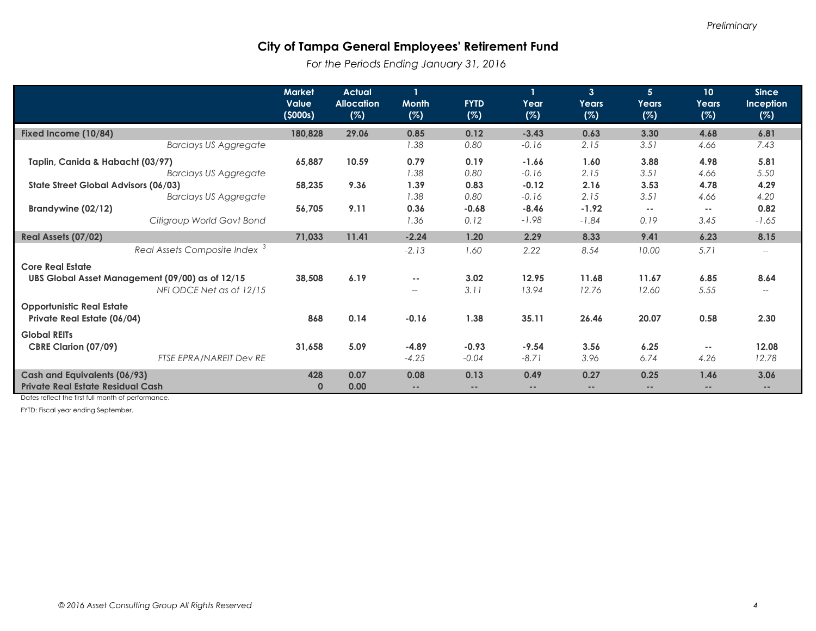*For the Periods Ending January 31, 2016*

|                                                                                 | <b>Market</b><br><b>Value</b><br>(5000s) | <b>Actual</b><br><b>Allocation</b><br>(%) | $\mathbf{1}$<br><b>Month</b><br>(%) | <b>FYTD</b><br>(%)        | $\mathbf{1}$<br>Year<br>(%) | 3 <sup>1</sup><br><b>Years</b><br>(%) | 5 <sup>5</sup><br>Years<br>(%) | 10 <sup>°</sup><br>Years<br>(%) | <b>Since</b><br>Inception<br>(%)                    |
|---------------------------------------------------------------------------------|------------------------------------------|-------------------------------------------|-------------------------------------|---------------------------|-----------------------------|---------------------------------------|--------------------------------|---------------------------------|-----------------------------------------------------|
| Fixed Income (10/84)                                                            | 180,828                                  | 29.06                                     | 0.85                                | 0.12                      | $-3.43$                     | 0.63                                  | 3.30                           | 4.68                            | 6.81                                                |
| <b>Barclays US Aggregate</b>                                                    |                                          |                                           | 1.38                                | 0.80                      | $-0.16$                     | 2.15                                  | 3.51                           | 4.66                            | 7.43                                                |
| Taplin, Canida & Habacht (03/97)<br><b>Barclays US Aggregate</b>                | 65,887                                   | 10.59                                     | 0.79<br>1.38                        | 0.19<br>0.80              | $-1.66$<br>$-0.16$          | 1.60<br>2.15                          | 3.88<br>3.51                   | 4.98<br>4.66                    | 5.81<br>5.50                                        |
| State Street Global Advisors (06/03)<br><b>Barclays US Aggregate</b>            | 58,235                                   | 9.36                                      | 1.39<br>1.38                        | 0.83<br>0.80              | $-0.12$<br>$-0.16$          | 2.16<br>2.15                          | 3.53<br>3.51                   | 4.78<br>4.66                    | 4.29<br>4.20                                        |
| Brandywine (02/12)<br>Citigroup World Govt Bond                                 | 56,705                                   | 9.11                                      | 0.36<br>1.36                        | $-0.68$<br>0.12           | $-8.46$<br>$-1.98$          | $-1.92$<br>$-1.84$                    | $\sim$ $-$<br>0.19             | <br>3.45                        | 0.82<br>$-1.65$                                     |
| Real Assets (07/02)                                                             | 71,033                                   | 11.41                                     | $-2.24$                             | 1.20                      | 2.29                        | 8.33                                  | 9.41                           | 6.23                            | 8.15                                                |
| Real Assets Composite Index <sup>3</sup><br><b>Core Real Estate</b>             |                                          |                                           | $-2.13$                             | 1.60                      | 2.22                        | 8.54                                  | 10.00                          | 5.71                            | $\hspace{0.05cm} -\hspace{0.05cm} -\hspace{0.05cm}$ |
| UBS Global Asset Management (09/00) as of 12/15<br>NFI ODCE Net as of 12/15     | 38,508                                   | 6.19                                      | $\sim$ $-$<br>$\qquad \qquad -$     | 3.02<br>3.11              | 12.95<br>13.94              | 11.68<br>12.76                        | 11.67<br>12.60                 | 6.85<br>5.55                    | 8.64                                                |
| <b>Opportunistic Real Estate</b><br>Private Real Estate (06/04)                 | 868                                      | 0.14                                      | $-0.16$                             | 1.38                      | 35.11                       | 26.46                                 | 20.07                          | 0.58                            | 2.30                                                |
| <b>Global REITs</b><br><b>CBRE Clarion (07/09)</b><br>FTSE EPRA/NAREIT Dev RE   | 31,658                                   | 5.09                                      | $-4.89$<br>$-4.25$                  | $-0.93$<br>$-0.04$        | $-9.54$<br>$-8.71$          | 3.56<br>3.96                          | 6.25<br>6.74                   | $\sim$ $-$<br>4.26              | 12.08<br>12.78                                      |
| <b>Cash and Equivalents (06/93)</b><br><b>Private Real Estate Residual Cash</b> | 428<br>$\mathbf 0$                       | 0.07<br>0.00                              | 0.08<br>$\frac{1}{2}$               | 0.13<br>$\qquad \qquad -$ | 0.49<br>$\qquad \qquad -$   | 0.27<br>--                            | 0.25<br>$\qquad \qquad -$      | 1.46<br>$\qquad \qquad -$       | 3.06<br>$\qquad \qquad -$                           |

Dates reflect the first full month of performance.

FYTD: Fiscal year ending September.